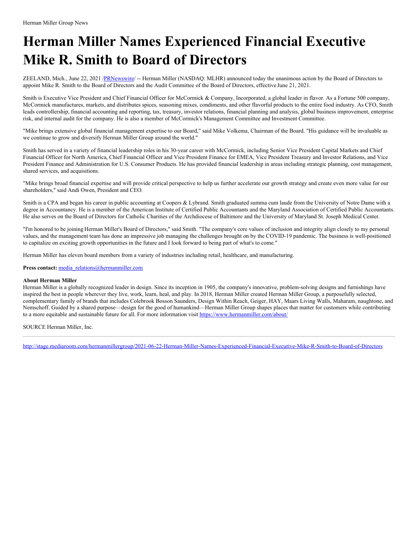## **Herman Miller Names Experienced Financial Executive Mike R. Smith to Board of Directors**

ZEELAND, Mich., June 22, 2021 [/PRNewswire](http://www.prnewswire.com/)/ -- Herman Miller (NASDAQ: MLHR) announced today the unanimous action by the Board of Directors to appoint Mike R. Smith to the Board of Directors and the Audit Committee of the Board of Directors, effective June 21, 2021.

Smith is Executive Vice President and Chief Financial Officer for McCormick & Company, Incorporated, a global leader in flavor. As a Fortune 500 company, McCormick manufactures, markets, and distributes spices, seasoning mixes, condiments, and other flavorful products to the entire food industry. As CFO, Smith leads controllership, financial accounting and reporting, tax, treasury, investor relations, financial planning and analysis, global business improvement, enterprise risk, and internal audit for the company. He is also a member of McCormick's Management Committee and Investment Committee.

"Mike brings extensive global financial management expertise to our Board," said Mike Volkema, Chairman of the Board. "His guidance will be invaluable as we continue to grow and diversify Herman Miller Group around the world."

Smith has served in a variety of financial leadership roles in his 30-year career with McCormick, including Senior Vice President Capital Markets and Chief Financial Officer for North America, Chief Financial Officer and Vice President Finance for EMEA, Vice President Treasury and Investor Relations, and Vice President Finance and Administration for U.S. Consumer Products. He has provided financial leadership in areas including strategic planning, cost management, shared services, and acquisitions.

"Mike brings broad financial expertise and will provide critical perspective to help us further accelerate our growth strategy and create even more value for our shareholders," said Andi Owen, President and CEO.

Smith is a CPA and began his career in public accounting at Coopers & Lybrand. Smith graduated summa cum laude from the University of Notre Dame with a degree in Accountancy. He is a member of the American Institute of Certified Public Accountants and the Maryland Association of Certified Public Accountants. He also serves on the Board of Directors for Catholic Charities of the Archdiocese of Baltimore and the University of Maryland St. Joseph Medical Center.

"I'm honored to be joining Herman Miller's Board of Directors," said Smith. "The company's core values of inclusion and integrity align closely to my personal values, and the management team has done an impressive job managing the challenges brought on by the COVID-19 pandemic. The business is well-positioned to capitalize on exciting growth opportunities in the future and I look forward to being part of what's to come."

Herman Miller has eleven board members from a variety of industries including retail, healthcare, and manufacturing.

Press contact: [media\\_relations@hermanmiller.com](mailto:media_relations@hermanmiller.com)

## **About Herman Miller**

Herman Miller is a globally recognized leader in design. Since its inception in 1905, the company's innovative, problem-solving designs and furnishings have inspired the best in people wherever they live, work, learn, heal, and play. In 2018, Herman Miller created Herman Miller Group, a purposefully selected, complementary family of brands that includes Colebrook Bosson Saunders, Design Within Reach, Geiger, HAY, Maars Living Walls, Maharam, naughtone, and Nemschoff. Guided by a shared purpose—design for the good of humankind—Herman Miller Group shapes places that matter for customers while contributing to a more equitable and sustainable future for all. For more information visit [https://www.hermanmiller.com/about/](https://c212.net/c/link/?t=0&l=en&o=3204214-1&h=3716956154&u=https%3A%2F%2Fwww.hermanmiller.com%2Fabout%2F&a=https%3A%2F%2Fwww.hermanmiller.com%2Fabout%2F)

SOURCE Herman Miller, Inc.

<http://stage.mediaroom.com/hermanmillergroup/2021-06-22-Herman-Miller-Names-Experienced-Financial-Executive-Mike-R-Smith-to-Board-of-Directors>